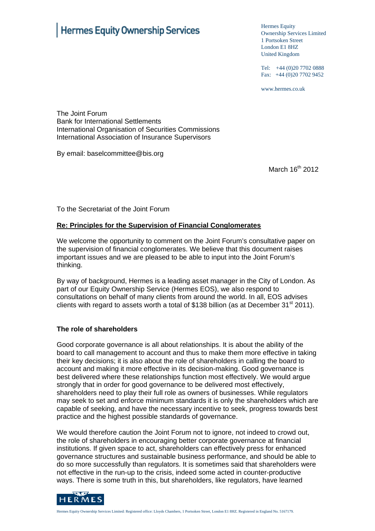# Hermes Equity Ownership Services

Hermes Equity Ownership Services Limited 1 Portsoken Street London E1 8HZ United Kingdom

Tel: +44 (0)20 7702 0888 Fax:  $+44(0)2077029452$ 

www.hermes.co.uk

The Joint Forum Bank for International Settlements International Organisation of Securities Commissions International Association of Insurance Supervisors

By email: baselcommittee@bis.org

March 16<sup>th</sup> 2012

To the Secretariat of the Joint Forum

#### **Re: Principles for the Supervision of Financial Conglomerates**

We welcome the opportunity to comment on the Joint Forum's consultative paper on the supervision of financial conglomerates. We believe that this document raises important issues and we are pleased to be able to input into the Joint Forum's thinking.

By way of background, Hermes is a leading asset manager in the City of London. As part of our Equity Ownership Service (Hermes EOS), we also respond to consultations on behalf of many clients from around the world. In all, EOS advises clients with regard to assets worth a total of \$138 billion (as at December  $31<sup>st</sup> 2011$ ).

#### **The role of shareholders**

Good corporate governance is all about relationships. It is about the ability of the board to call management to account and thus to make them more effective in taking their key decisions; it is also about the role of shareholders in calling the board to account and making it more effective in its decision-making. Good governance is best delivered where these relationships function most effectively. We would argue strongly that in order for good governance to be delivered most effectively, shareholders need to play their full role as owners of businesses. While regulators may seek to set and enforce minimum standards it is only the shareholders which are capable of seeking, and have the necessary incentive to seek, progress towards best practice and the highest possible standards of governance.

We would therefore caution the Joint Forum not to ignore, not indeed to crowd out, the role of shareholders in encouraging better corporate governance at financial institutions. If given space to act, shareholders can effectively press for enhanced governance structures and sustainable business performance, and should be able to do so more successfully than regulators. It is sometimes said that shareholders were not effective in the run-up to the crisis, indeed some acted in counter-productive ways. There is some truth in this, but shareholders, like regulators, have learned

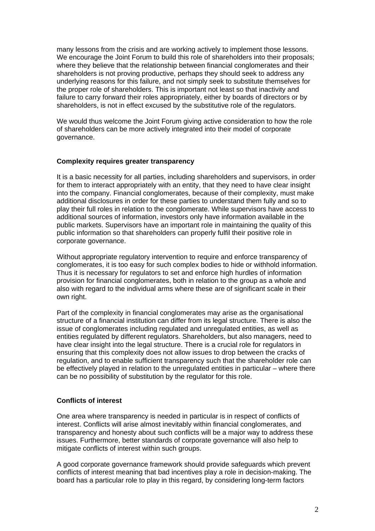many lessons from the crisis and are working actively to implement those lessons. We encourage the Joint Forum to build this role of shareholders into their proposals; where they believe that the relationship between financial conglomerates and their shareholders is not proving productive, perhaps they should seek to address any underlying reasons for this failure, and not simply seek to substitute themselves for the proper role of shareholders. This is important not least so that inactivity and failure to carry forward their roles appropriately, either by boards of directors or by shareholders, is not in effect excused by the substitutive role of the regulators.

We would thus welcome the Joint Forum giving active consideration to how the role of shareholders can be more actively integrated into their model of corporate governance.

#### **Complexity requires greater transparency**

It is a basic necessity for all parties, including shareholders and supervisors, in order for them to interact appropriately with an entity, that they need to have clear insight into the company. Financial conglomerates, because of their complexity, must make additional disclosures in order for these parties to understand them fully and so to play their full roles in relation to the conglomerate. While supervisors have access to additional sources of information, investors only have information available in the public markets. Supervisors have an important role in maintaining the quality of this public information so that shareholders can properly fulfil their positive role in corporate governance.

Without appropriate regulatory intervention to require and enforce transparency of conglomerates, it is too easy for such complex bodies to hide or withhold information. Thus it is necessary for regulators to set and enforce high hurdles of information provision for financial conglomerates, both in relation to the group as a whole and also with regard to the individual arms where these are of significant scale in their own right.

Part of the complexity in financial conglomerates may arise as the organisational structure of a financial institution can differ from its legal structure. There is also the issue of conglomerates including regulated and unregulated entities, as well as entities regulated by different regulators. Shareholders, but also managers, need to have clear insight into the legal structure. There is a crucial role for regulators in ensuring that this complexity does not allow issues to drop between the cracks of regulation, and to enable sufficient transparency such that the shareholder role can be effectively played in relation to the unregulated entities in particular – where there can be no possibility of substitution by the regulator for this role.

## **Conflicts of interest**

One area where transparency is needed in particular is in respect of conflicts of interest. Conflicts will arise almost inevitably within financial conglomerates, and transparency and honesty about such conflicts will be a major way to address these issues. Furthermore, better standards of corporate governance will also help to mitigate conflicts of interest within such groups.

A good corporate governance framework should provide safeguards which prevent conflicts of interest meaning that bad incentives play a role in decision-making. The board has a particular role to play in this regard, by considering long-term factors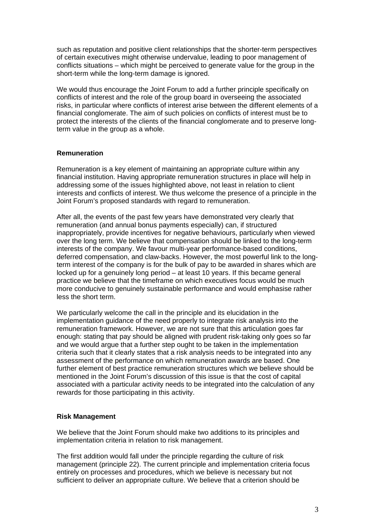such as reputation and positive client relationships that the shorter-term perspectives of certain executives might otherwise undervalue, leading to poor management of conflicts situations – which might be perceived to generate value for the group in the short-term while the long-term damage is ignored.

We would thus encourage the Joint Forum to add a further principle specifically on conflicts of interest and the role of the group board in overseeing the associated risks, in particular where conflicts of interest arise between the different elements of a financial conglomerate. The aim of such policies on conflicts of interest must be to protect the interests of the clients of the financial conglomerate and to preserve longterm value in the group as a whole.

## **Remuneration**

Remuneration is a key element of maintaining an appropriate culture within any financial institution. Having appropriate remuneration structures in place will help in addressing some of the issues highlighted above, not least in relation to client interests and conflicts of interest. We thus welcome the presence of a principle in the Joint Forum's proposed standards with regard to remuneration.

After all, the events of the past few years have demonstrated very clearly that remuneration (and annual bonus payments especially) can, if structured inappropriately, provide incentives for negative behaviours, particularly when viewed over the long term. We believe that compensation should be linked to the long-term interests of the company. We favour multi-year performance-based conditions, deferred compensation, and claw-backs. However, the most powerful link to the longterm interest of the company is for the bulk of pay to be awarded in shares which are locked up for a genuinely long period – at least 10 years. If this became general practice we believe that the timeframe on which executives focus would be much more conducive to genuinely sustainable performance and would emphasise rather less the short term.

We particularly welcome the call in the principle and its elucidation in the implementation guidance of the need properly to integrate risk analysis into the remuneration framework. However, we are not sure that this articulation goes far enough: stating that pay should be aligned with prudent risk-taking only goes so far and we would argue that a further step ought to be taken in the implementation criteria such that it clearly states that a risk analysis needs to be integrated into any assessment of the performance on which remuneration awards are based. One further element of best practice remuneration structures which we believe should be mentioned in the Joint Forum's discussion of this issue is that the cost of capital associated with a particular activity needs to be integrated into the calculation of any rewards for those participating in this activity.

# **Risk Management**

We believe that the Joint Forum should make two additions to its principles and implementation criteria in relation to risk management.

The first addition would fall under the principle regarding the culture of risk management (principle 22). The current principle and implementation criteria focus entirely on processes and procedures, which we believe is necessary but not sufficient to deliver an appropriate culture. We believe that a criterion should be